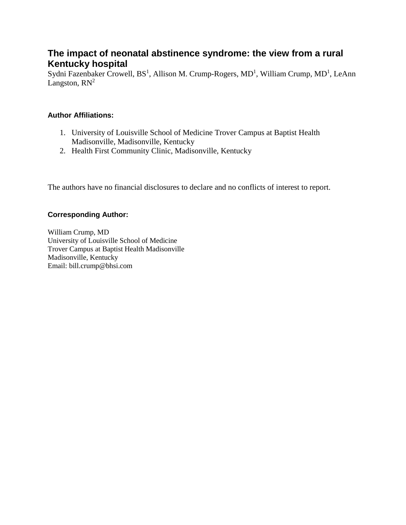# **The impact of neonatal abstinence syndrome: the view from a rural Kentucky hospital**

Sydni Fazenbaker Crowell, BS<sup>1</sup>, Allison M. Crump-Rogers, MD<sup>1</sup>, William Crump, MD<sup>1</sup>, LeAnn Langston,  $RN^2$ 

## **Author Affiliations:**

- 1. University of Louisville School of Medicine Trover Campus at Baptist Health Madisonville, Madisonville, Kentucky
- 2. Health First Community Clinic, Madisonville, Kentucky

The authors have no financial disclosures to declare and no conflicts of interest to report.

## **Corresponding Author:**

William Crump, MD University of Louisville School of Medicine Trover Campus at Baptist Health Madisonville Madisonville, Kentucky Email: bill.crump@bhsi.com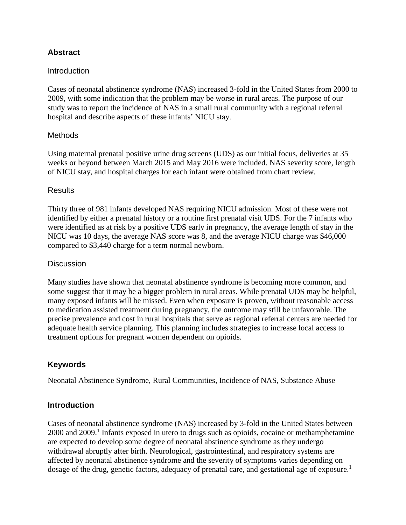## **Abstract**

### **Introduction**

Cases of neonatal abstinence syndrome (NAS) increased 3-fold in the United States from 2000 to 2009, with some indication that the problem may be worse in rural areas. The purpose of our study was to report the incidence of NAS in a small rural community with a regional referral hospital and describe aspects of these infants' NICU stay.

#### **Methods**

Using maternal prenatal positive urine drug screens (UDS) as our initial focus, deliveries at 35 weeks or beyond between March 2015 and May 2016 were included. NAS severity score, length of NICU stay, and hospital charges for each infant were obtained from chart review.

#### **Results**

Thirty three of 981 infants developed NAS requiring NICU admission. Most of these were not identified by either a prenatal history or a routine first prenatal visit UDS. For the 7 infants who were identified as at risk by a positive UDS early in pregnancy, the average length of stay in the NICU was 10 days, the average NAS score was 8, and the average NICU charge was \$46,000 compared to \$3,440 charge for a term normal newborn.

#### **Discussion**

Many studies have shown that neonatal abstinence syndrome is becoming more common, and some suggest that it may be a bigger problem in rural areas. While prenatal UDS may be helpful, many exposed infants will be missed. Even when exposure is proven, without reasonable access to medication assisted treatment during pregnancy, the outcome may still be unfavorable. The precise prevalence and cost in rural hospitals that serve as regional referral centers are needed for adequate health service planning. This planning includes strategies to increase local access to treatment options for pregnant women dependent on opioids.

## **Keywords**

Neonatal Abstinence Syndrome, Rural Communities, Incidence of NAS, Substance Abuse

#### **Introduction**

Cases of neonatal abstinence syndrome (NAS) increased by 3-fold in the United States between 2000 and 2009.<sup>1</sup> Infants exposed in utero to drugs such as opioids, cocaine or methamphetamine are expected to develop some degree of neonatal abstinence syndrome as they undergo withdrawal abruptly after birth. Neurological, gastrointestinal, and respiratory systems are affected by neonatal abstinence syndrome and the severity of symptoms varies depending on dosage of the drug, genetic factors, adequacy of prenatal care, and gestational age of exposure.<sup>1</sup>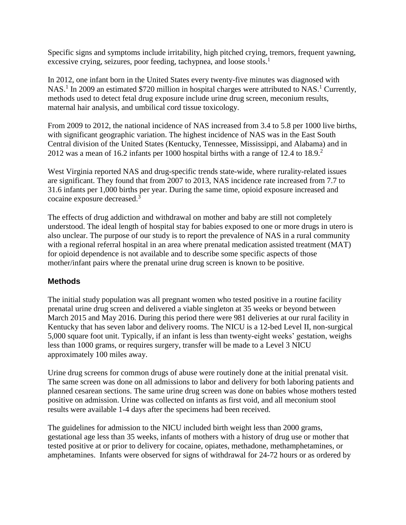Specific signs and symptoms include irritability, high pitched crying, tremors, frequent yawning, excessive crying, seizures, poor feeding, tachypnea, and loose stools.<sup>1</sup>

In 2012, one infant born in the United States every twenty-five minutes was diagnosed with NAS.<sup>1</sup> In 2009 an estimated \$720 million in hospital charges were attributed to NAS.<sup>1</sup> Currently, methods used to detect fetal drug exposure include urine drug screen, meconium results, maternal hair analysis, and umbilical cord tissue toxicology.

From 2009 to 2012, the national incidence of NAS increased from 3.4 to 5.8 per 1000 live births, with significant geographic variation. The highest incidence of NAS was in the East South Central division of the United States (Kentucky, Tennessee, Mississippi, and Alabama) and in 2012 was a mean of 16.2 infants per 1000 hospital births with a range of 12.4 to 18.9.<sup>2</sup>

West Virginia reported NAS and drug-specific trends state-wide, where rurality-related issues are significant. They found that from 2007 to 2013, NAS incidence rate increased from 7.7 to 31.6 infants per 1,000 births per year. During the same time, opioid exposure increased and cocaine exposure decreased.<sup>3</sup>

The effects of drug addiction and withdrawal on mother and baby are still not completely understood. The ideal length of hospital stay for babies exposed to one or more drugs in utero is also unclear. The purpose of our study is to report the prevalence of NAS in a rural community with a regional referral hospital in an area where prenatal medication assisted treatment (MAT) for opioid dependence is not available and to describe some specific aspects of those mother/infant pairs where the prenatal urine drug screen is known to be positive.

## **Methods**

The initial study population was all pregnant women who tested positive in a routine facility prenatal urine drug screen and delivered a viable singleton at 35 weeks or beyond between March 2015 and May 2016. During this period there were 981 deliveries at our rural facility in Kentucky that has seven labor and delivery rooms. The NICU is a 12-bed Level II, non-surgical 5,000 square foot unit. Typically, if an infant is less than twenty-eight weeks' gestation, weighs less than 1000 grams, or requires surgery, transfer will be made to a Level 3 NICU approximately 100 miles away.

Urine drug screens for common drugs of abuse were routinely done at the initial prenatal visit. The same screen was done on all admissions to labor and delivery for both laboring patients and planned cesarean sections. The same urine drug screen was done on babies whose mothers tested positive on admission. Urine was collected on infants as first void, and all meconium stool results were available 1-4 days after the specimens had been received.

The guidelines for admission to the NICU included birth weight less than 2000 grams, gestational age less than 35 weeks, infants of mothers with a history of drug use or mother that tested positive at or prior to delivery for cocaine, opiates, methadone, methamphetamines, or amphetamines. Infants were observed for signs of withdrawal for 24-72 hours or as ordered by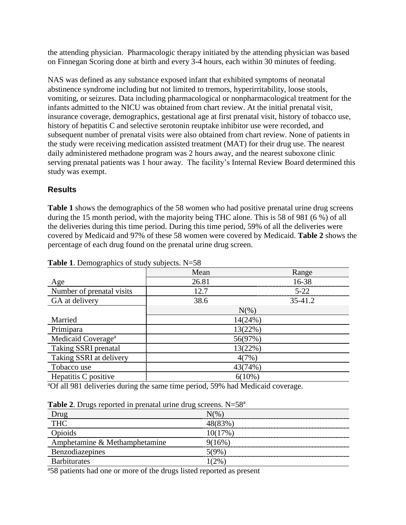the attending physician. Pharmacologic therapy initiated by the attending physician was based on Finnegan Scoring done at birth and every 3-4 hours, each within 30 minutes of feeding.

NAS was defined as any substance exposed infant that exhibited symptoms of neonatal abstinence syndrome including but not limited to tremors, hyperirritability, loose stools, vomiting, or seizures. Data including pharmacological or nonpharmacological treatment for the infants admitted to the NICU was obtained from chart review. At the initial prenatal visit, insurance coverage, demographics, gestational age at first prenatal visit, history of tobacco use, history of hepatitis C and selective serotonin reuptake inhibitor use were recorded, and subsequent number of prenatal visits were also obtained from chart review. None of patients in the study were receiving medication assisted treatment (MAT) for their drug use. The nearest daily administered methadone program was 2 hours away, and the nearest suboxone clinic serving prenatal patients was 1 hour away. The facility's Internal Review Board determined this study was exempt.

## **Results**

**Table 1** shows the demographics of the 58 women who had positive prenatal urine drug screens during the 15 month period, with the majority being THC alone. This is 58 of 981 (6 %) of all the deliveries during this time period. During this time period, 59% of all the deliveries were covered by Medicaid and 97% of these 58 women were covered by Medicaid. **Table 2** shows the percentage of each drug found on the prenatal urine drug screen.

|                                | Mean    | Range     |  |
|--------------------------------|---------|-----------|--|
| Age                            | 26.81   | 16-38     |  |
| Number of prenatal visits      | 12.7    | $5 - 22$  |  |
| GA at delivery                 | 38.6    | 35-41.2   |  |
|                                | $N(\%)$ |           |  |
| Married                        |         | 14(24%)   |  |
| Primipara                      |         | 13(22%)   |  |
| Medicaid Coverage <sup>a</sup> |         | 56(97%)   |  |
| <b>Taking SSRI prenatal</b>    |         | 13(22%)   |  |
| Taking SSRI at delivery        |         | 4(7%)     |  |
| Tobacco use                    |         | 43(74%)   |  |
| Hepatitis C positive           |         | $6(10\%)$ |  |

**Table 1**. Demographics of study subjects. N=58

<sup>a</sup>Of all 981 deliveries during the same time period, 59% had Medicaid coverage.

| <b>Table 2.</b> Drugs reported in prenatal urine drug screens. $N=58^a$ |
|-------------------------------------------------------------------------|
|-------------------------------------------------------------------------|

| <b>Drug</b>                   | N(%        |  |  |  |  |  |
|-------------------------------|------------|--|--|--|--|--|
| <b>THC</b>                    |            |  |  |  |  |  |
| Opioids                       | $10(17\%)$ |  |  |  |  |  |
| Amphetamine & Methamphetamine | 9(16%)     |  |  |  |  |  |
| Benzodiazepines               | 50%        |  |  |  |  |  |
| <b>Barbiturates</b>           | $(2\%$     |  |  |  |  |  |

<sup>a</sup>58 patients had one or more of the drugs listed reported as present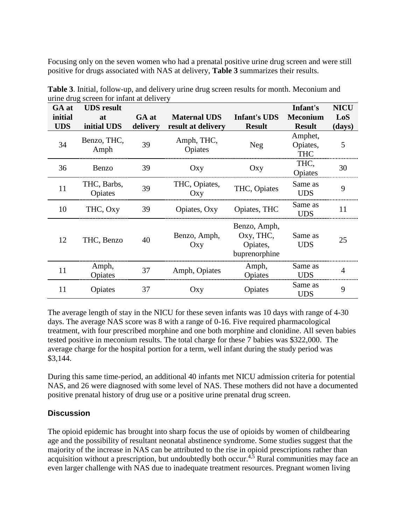Focusing only on the seven women who had a prenatal positive urine drug screen and were still positive for drugs associated with NAS at delivery, **Table 3** summarizes their results.

| GA at      | <b>UDS</b> result      |          |                       |                                                        | Infant's                          | <b>NICU</b> |
|------------|------------------------|----------|-----------------------|--------------------------------------------------------|-----------------------------------|-------------|
| initial    | at                     | GA at    | <b>Maternal UDS</b>   | <b>Infant's UDS</b>                                    | <b>Meconium</b>                   | LoS         |
| <b>UDS</b> | initial UDS            | delivery | result at delivery    | <b>Result</b>                                          | <b>Result</b>                     | (days)      |
| 34         | Benzo, THC,<br>Amph    | 39       | Amph, THC,<br>Opiates | <b>Neg</b>                                             | Amphet,<br>Opiates,<br><b>THC</b> | 5           |
| 36         | Benzo                  | 39       | Oxy                   | Oxy                                                    | THC,<br>Opiates                   | 30          |
| 11         | THC, Barbs,<br>Opiates | 39       | THC, Opiates,<br>Oxy  | THC, Opiates                                           | Same as<br><b>UDS</b>             | 9           |
| 10         | THC, Oxy               | 39       | Opiates, Oxy          | Opiates, THC                                           | Same as<br><b>UDS</b>             | 11          |
| 12         | THC, Benzo             | 40       | Benzo, Amph,<br>Oxy   | Benzo, Amph,<br>Oxy, THC,<br>Opiates,<br>buprenorphine | Same as<br><b>UDS</b>             | 25          |
| 11         | Amph,<br>Opiates       | 37       | Amph, Opiates         | Amph,<br>Opiates                                       | Same as<br><b>UDS</b>             | 4           |
| 11         | Opiates                | 37       | Oxy                   | Opiates                                                | Same as<br><b>UDS</b>             | 9           |

**Table 3**. Initial, follow-up, and delivery urine drug screen results for month. Meconium and urine drug screen for infant at delivery

The average length of stay in the NICU for these seven infants was 10 days with range of 4-30 days. The average NAS score was 8 with a range of 0-16. Five required pharmacological treatment, with four prescribed morphine and one both morphine and clonidine. All seven babies tested positive in meconium results. The total charge for these 7 babies was \$322,000. The average charge for the hospital portion for a term, well infant during the study period was \$3,144.

During this same time-period, an additional 40 infants met NICU admission criteria for potential NAS, and 26 were diagnosed with some level of NAS. These mothers did not have a documented positive prenatal history of drug use or a positive urine prenatal drug screen.

## **Discussion**

The opioid epidemic has brought into sharp focus the use of opioids by women of childbearing age and the possibility of resultant neonatal abstinence syndrome. Some studies suggest that the majority of the increase in NAS can be attributed to the rise in opioid prescriptions rather than acquisition without a prescription, but undoubtedly both occur.<sup>4,5</sup> Rural communities may face an even larger challenge with NAS due to inadequate treatment resources. Pregnant women living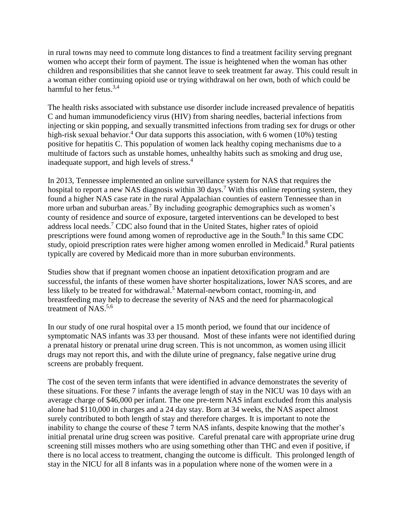in rural towns may need to commute long distances to find a treatment facility serving pregnant women who accept their form of payment. The issue is heightened when the woman has other children and responsibilities that she cannot leave to seek treatment far away. This could result in a woman either continuing opioid use or trying withdrawal on her own, both of which could be harmful to her fetus.<sup>3,4</sup>

The health risks associated with substance use disorder include increased prevalence of hepatitis C and human immunodeficiency virus (HIV) from sharing needles, bacterial infections from injecting or skin popping, and sexually transmitted infections from trading sex for drugs or other high-risk sexual behavior.<sup>4</sup> Our data supports this association, with 6 women (10%) testing positive for hepatitis C. This population of women lack healthy coping mechanisms due to a multitude of factors such as unstable homes, unhealthy habits such as smoking and drug use, inadequate support, and high levels of stress.<sup>4</sup>

In 2013, Tennessee implemented an online surveillance system for NAS that requires the hospital to report a new NAS diagnosis within 30 days.<sup>7</sup> With this online reporting system, they found a higher NAS case rate in the rural Appalachian counties of eastern Tennessee than in more urban and suburban areas.<sup>7</sup> By including geographic demographics such as women's county of residence and source of exposure, targeted interventions can be developed to best address local needs.<sup>7</sup> CDC also found that in the United States, higher rates of opioid prescriptions were found among women of reproductive age in the South.<sup>8</sup> In this same CDC study, opioid prescription rates were higher among women enrolled in Medicaid.<sup>8</sup> Rural patients typically are covered by Medicaid more than in more suburban environments.

Studies show that if pregnant women choose an inpatient detoxification program and are successful, the infants of these women have shorter hospitalizations, lower NAS scores, and are less likely to be treated for withdrawal.<sup>5</sup> Maternal-newborn contact, rooming-in, and breastfeeding may help to decrease the severity of NAS and the need for pharmacological treatment of NAS.<sup>5,6</sup>

In our study of one rural hospital over a 15 month period, we found that our incidence of symptomatic NAS infants was 33 per thousand. Most of these infants were not identified during a prenatal history or prenatal urine drug screen. This is not uncommon, as women using illicit drugs may not report this, and with the dilute urine of pregnancy, false negative urine drug screens are probably frequent.

The cost of the seven term infants that were identified in advance demonstrates the severity of these situations. For these 7 infants the average length of stay in the NICU was 10 days with an average charge of \$46,000 per infant. The one pre-term NAS infant excluded from this analysis alone had \$110,000 in charges and a 24 day stay. Born at 34 weeks, the NAS aspect almost surely contributed to both length of stay and therefore charges. It is important to note the inability to change the course of these 7 term NAS infants, despite knowing that the mother's initial prenatal urine drug screen was positive. Careful prenatal care with appropriate urine drug screening still misses mothers who are using something other than THC and even if positive, if there is no local access to treatment, changing the outcome is difficult. This prolonged length of stay in the NICU for all 8 infants was in a population where none of the women were in a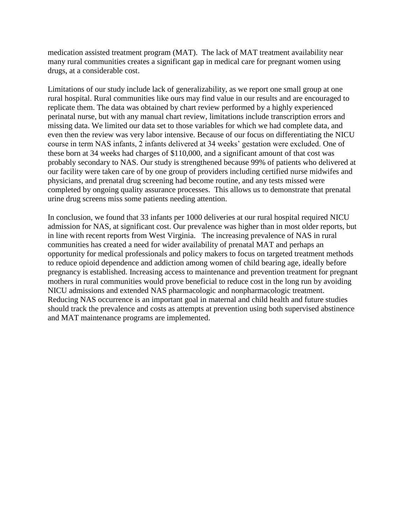medication assisted treatment program (MAT). The lack of MAT treatment availability near many rural communities creates a significant gap in medical care for pregnant women using drugs, at a considerable cost.

Limitations of our study include lack of generalizability, as we report one small group at one rural hospital. Rural communities like ours may find value in our results and are encouraged to replicate them. The data was obtained by chart review performed by a highly experienced perinatal nurse, but with any manual chart review, limitations include transcription errors and missing data. We limited our data set to those variables for which we had complete data, and even then the review was very labor intensive. Because of our focus on differentiating the NICU course in term NAS infants, 2 infants delivered at 34 weeks' gestation were excluded. One of these born at 34 weeks had charges of \$110,000, and a significant amount of that cost was probably secondary to NAS. Our study is strengthened because 99% of patients who delivered at our facility were taken care of by one group of providers including certified nurse midwifes and physicians, and prenatal drug screening had become routine, and any tests missed were completed by ongoing quality assurance processes. This allows us to demonstrate that prenatal urine drug screens miss some patients needing attention.

In conclusion, we found that 33 infants per 1000 deliveries at our rural hospital required NICU admission for NAS, at significant cost. Our prevalence was higher than in most older reports, but in line with recent reports from West Virginia. The increasing prevalence of NAS in rural communities has created a need for wider availability of prenatal MAT and perhaps an opportunity for medical professionals and policy makers to focus on targeted treatment methods to reduce opioid dependence and addiction among women of child bearing age, ideally before pregnancy is established. Increasing access to maintenance and prevention treatment for pregnant mothers in rural communities would prove beneficial to reduce cost in the long run by avoiding NICU admissions and extended NAS pharmacologic and nonpharmacologic treatment. Reducing NAS occurrence is an important goal in maternal and child health and future studies should track the prevalence and costs as attempts at prevention using both supervised abstinence and MAT maintenance programs are implemented.